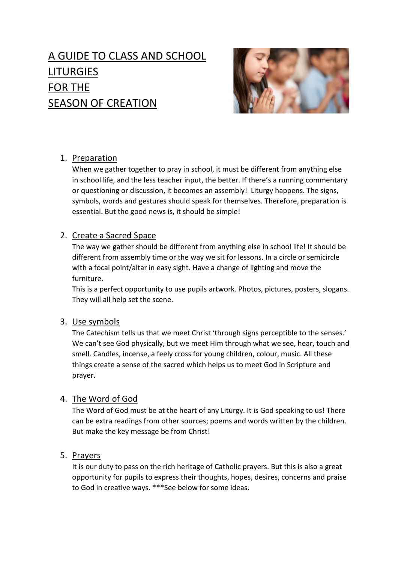# A GUIDE TO CLASS AND SCHOOL LITURGIES FOR THE SEASON OF CREATION



# 1. Preparation

When we gather together to pray in school, it must be different from anything else in school life, and the less teacher input, the better. If there's a running commentary or questioning or discussion, it becomes an assembly! Liturgy happens. The signs, symbols, words and gestures should speak for themselves. Therefore, preparation is essential. But the good news is, it should be simple!

# 2. Create a Sacred Space

The way we gather should be different from anything else in school life! It should be different from assembly time or the way we sit for lessons. In a circle or semicircle with a focal point/altar in easy sight. Have a change of lighting and move the furniture.

This is a perfect opportunity to use pupils artwork. Photos, pictures, posters, slogans. They will all help set the scene.

# 3. Use symbols

The Catechism tells us that we meet Christ 'through signs perceptible to the senses.' We can't see God physically, but we meet Him through what we see, hear, touch and smell. Candles, incense, a feely cross for young children, colour, music. All these things create a sense of the sacred which helps us to meet God in Scripture and prayer.

# 4. The Word of God

The Word of God must be at the heart of any Liturgy. It is God speaking to us! There can be extra readings from other sources; poems and words written by the children. But make the key message be from Christ!

# 5. Prayers

It is our duty to pass on the rich heritage of Catholic prayers. But this is also a great opportunity for pupils to express their thoughts, hopes, desires, concerns and praise to God in creative ways. \*\*\*See below for some ideas.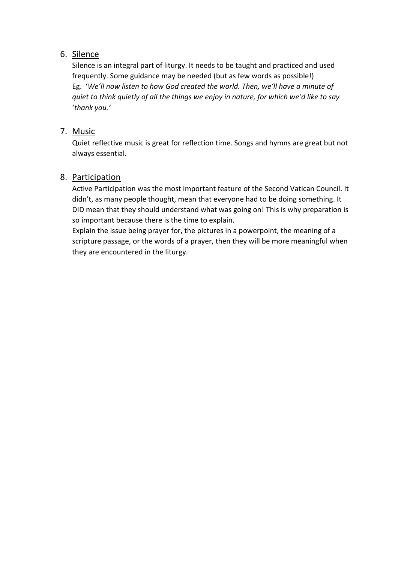### 6. Silence

Silence is an integral part of liturgy. It needs to be taught and practiced and used frequently. Some guidance may be needed (but as few words as possible!) Eg. '*We'll now listen to how God created the world. Then, we'll have a minute of quiet to think quietly of all the things we enjoy in nature, for which we'd like to say 'thank you.'*

### 7. Music

Quiet reflective music is great for reflection time. Songs and hymns are great but not always essential.

### 8. Participation

Active Participation was the most important feature of the Second Vatican Council. It didn't, as many people thought, mean that everyone had to be doing something. It DID mean that they should understand what was going on! This is why preparation is so important because there is the time to explain.

Explain the issue being prayer for, the pictures in a powerpoint, the meaning of a scripture passage, or the words of a prayer, then they will be more meaningful when they are encountered in the liturgy.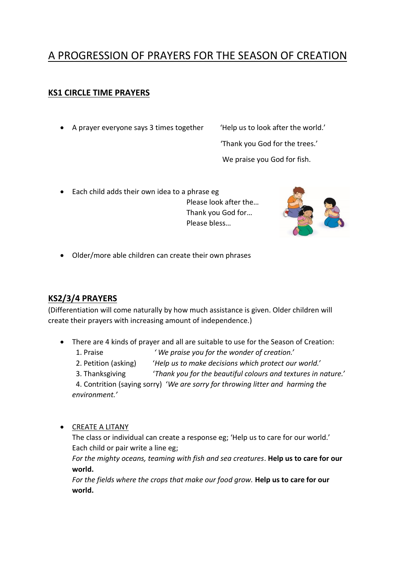# A PROGRESSION OF PRAYERS FOR THE SEASON OF CREATION

### **KS1 CIRCLE TIME PRAYERS**

• A prayer everyone says 3 times together 'Help us to look after the world.'

'Thank you God for the trees.'

We praise you God for fish.

• Each child adds their own idea to a phrase eg Please look after the… Thank you God for… Please bless…



• Older/more able children can create their own phrases

### **KS2/3/4 PRAYERS**

(Differentiation will come naturally by how much assistance is given. Older children will create their prayers with increasing amount of independence.)

- There are 4 kinds of prayer and all are suitable to use for the Season of Creation:
	- 1. Praise *' We praise you for the wonder of creation.'*
	- 2. Petition (asking) '*Help us to make decisions which protect our world.'*
	- 3. Thanksgiving '*Thank you for the beautiful colours and textures in nature.'*

 4. Contrition (saying sorry) '*We are sorry for throwing litter and harming the environment.'*

• CREATE A LITANY

The class or individual can create a response eg; 'Help us to care for our world.' Each child or pair write a line eg;

*For the mighty oceans, teaming with fish and sea creatures*. **Help us to care for our world.**

*For the fields where the crops that make our food grow.* **Help us to care for our world.**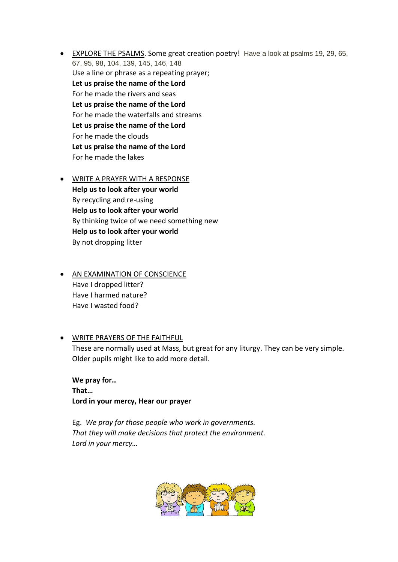- EXPLORE THE PSALMS. Some great creation poetry! Have a look at psalms 19, 29, 65, 67, 95, 98, 104, 139, 145, 146, 148 Use a line or phrase as a repeating prayer; **Let us praise the name of the Lord** For he made the rivers and seas **Let us praise the name of the Lord** For he made the waterfalls and streams **Let us praise the name of the Lord** For he made the clouds **Let us praise the name of the Lord** For he made the lakes
- WRITE A PRAYER WITH A RESPONSE **Help us to look after your world** By recycling and re-using **Help us to look after your world** By thinking twice of we need something new **Help us to look after your world** By not dropping litter
- AN EXAMINATION OF CONSCIENCE Have I dropped litter? Have I harmed nature? Have I wasted food?
- WRITE PRAYERS OF THE FAITHFUL These are normally used at Mass, but great for any liturgy. They can be very simple. Older pupils might like to add more detail.

**We pray for.. That… Lord in your mercy, Hear our prayer**

Eg. *We pray for those people who work in governments. That they will make decisions that protect the environment. Lord in your mercy…*